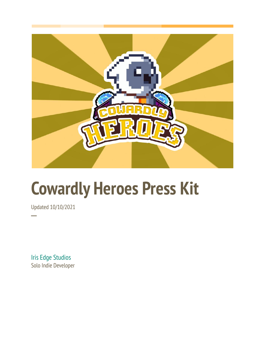

## **Cowardly Heroes Press Kit**

Updated 10/10/2021

**─**

Iris Edge Studios Solo Indie Developer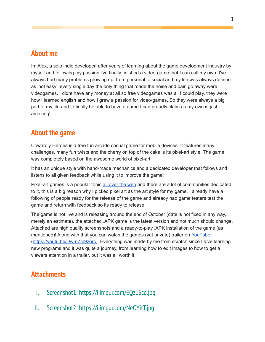## **About me**

Im Alex, a solo indie developer, after years of learning about the game development industry by myself and following my passion i've finally finished a video-game that I can call my own. I've always had many problems growing up, from personal to social and my life was always defined as 'not easy', every single day the only thing that made the noise and pain go away were videogames. I didnt have any money at all so free videogames was all I could play, they were how I learned english and how I grew a passion for video-games. So they were always a big part of my life and to finally be able to have a game I can proudly claim as my own is just... amazing!

## **About the game**

Cowardly Heroes is a free fun arcade casual game for mobile devices. It features many challenges, many fun twists and the cherry on top of the cake is its pixel-art style. The game was completely based on the awesome world of pixel-art!

It has an unique style with hand-made mechanics and a dedicated developer that follows and listens to all given feedback while using it to improve the game!

Pixel-art games is a popular topic all [over](https://trends.google.com/trends/explore?q=pixel%20art) the web and there are a lot of communities dedicated to it, this is a big reason why I picked pixel art as the art style for my game. I already have a following of people ready for the release of the game and already had game testers test the game and return with feedback so its ready to release.

The game is not live and is releasing around the end of October (date is not fixed in any way, merely an estimate), the attached .APK game is the latest version and not much should change. Attached are high quality screenshots and a ready-to-play .APK installation of the game (as mentioned)! Along with that you can watch the games (yet private) trailer on [YouTube](https://youtu.be/Dw-n7m9zorc) ([https://youtu.be/Dw-n7m9zorc\)](https://youtu.be/Dw-n7m9zorc). Everything was made by me from scratch since I love learning new programs and it was quite a journey, from learning how to edit images to how to get a viewers attention in a trailer, but it was all worth it.

## **Attachments**

- I. Screenshot1: https://i.imgur.com/EQzL6cg.jpg
- II. Screenshot2: https://i.imgur.com/NeOYitT.jpg